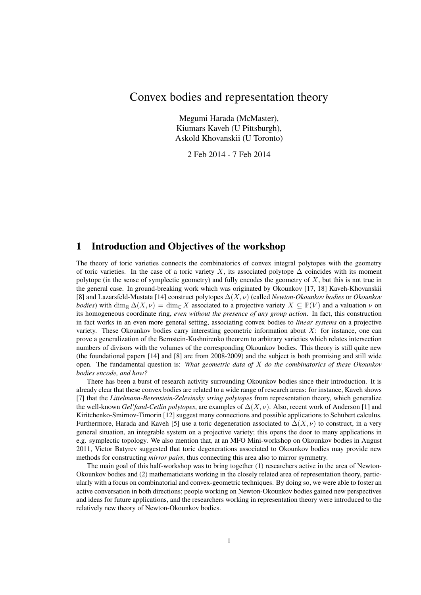## Convex bodies and representation theory

Megumi Harada (McMaster), Kiumars Kaveh (U Pittsburgh), Askold Khovanskii (U Toronto)

2 Feb 2014 - 7 Feb 2014

## 1 Introduction and Objectives of the workshop

The theory of toric varieties connects the combinatorics of convex integral polytopes with the geometry of toric varieties. In the case of a toric variety X, its associated polytope  $\Delta$  coincides with its moment polytope (in the sense of symplectic geometry) and fully encodes the geometry of  $X$ , but this is not true in the general case. In ground-breaking work which was originated by Okounkov [17, 18] Kaveh-Khovanskii [8] and Lazarsfeld-Mustata [14] construct polytopes ∆(X, ν) (called *Newton-Okounkov bodies* or *Okounkov bodies*) with dim<sub>R</sub>  $\Delta(X, \nu) = \dim_{\mathbb{C}} X$  associated to a projective variety  $X \subseteq \mathbb{P}(V)$  and a valuation  $\nu$  on its homogeneous coordinate ring, *even without the presence of any group action*. In fact, this construction in fact works in an even more general setting, associating convex bodies to *linear systems* on a projective variety. These Okounkov bodies carry interesting geometric information about  $X$ : for instance, one can prove a generalization of the Bernstein-Kushnirenko theorem to arbitrary varieties which relates intersection numbers of divisors with the volumes of the corresponding Okounkov bodies. This theory is still quite new (the foundational papers [14] and [8] are from 2008-2009) and the subject is both promising and still wide open. The fundamental question is: *What geometric data of* X *do the combinatorics of these Okounkov bodies encode, and how?*

There has been a burst of research activity surrounding Okounkov bodies since their introduction. It is already clear that these convex bodies are related to a wide range of research areas: for instance, Kaveh shows [7] that the *Littelmann-Berenstein-Zelevinsky string polytopes* from representation theory, which generalize the well-known *Gel'fand-Cetlin polytopes*, are examples of ∆(X, ν). Also, recent work of Anderson [1] and Kiritchenko-Smirnov-Timorin [12] suggest many connections and possible applications to Schubert calculus. Furthermore, Harada and Kaveh [5] use a toric degeneration associated to  $\Delta(X, \nu)$  to construct, in a very general situation, an integrable system on a projective variety; this opens the door to many applications in e.g. symplectic topology. We also mention that, at an MFO Mini-workshop on Okounkov bodies in August 2011, Victor Batyrev suggested that toric degenerations associated to Okounkov bodies may provide new methods for constructing *mirror pairs*, thus connecting this area also to mirror symmetry.

The main goal of this half-workshop was to bring together (1) researchers active in the area of Newton-Okounkov bodies and (2) mathematicians working in the closely related area of representation theory, particularly with a focus on combinatorial and convex-geometric techniques. By doing so, we were able to foster an active conversation in both directions; people working on Newton-Okounkov bodies gained new perspectives and ideas for future applications, and the researchers working in representation theory were introduced to the relatively new theory of Newton-Okounkov bodies.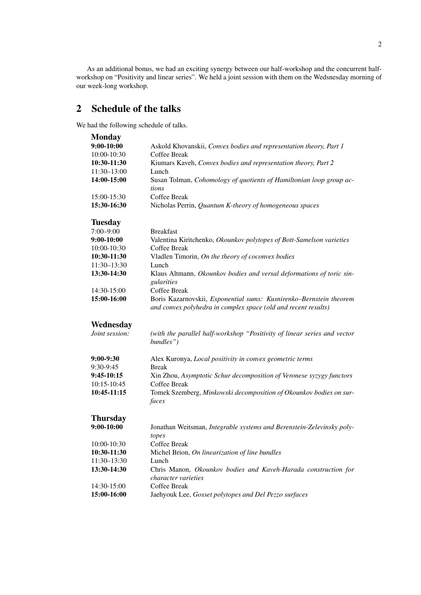As an additional bonus, we had an exciting synergy between our half-workshop and the concurrent halfworkshop on "Positivity and linear series". We held a joint session with them on the Wedsnesday morning of our week-long workshop.

# 2 Schedule of the talks

We had the following schedule of talks.

| <b>Monday</b>   |                                                                                                                                      |
|-----------------|--------------------------------------------------------------------------------------------------------------------------------------|
| $9:00-10:00$    | Askold Khovanskii, Convex bodies and representation theory, Part 1                                                                   |
| 10:00-10:30     | Coffee Break                                                                                                                         |
| 10:30-11:30     | Kiumars Kaveh, Convex bodies and representation theory, Part 2                                                                       |
| 11:30-13:00     | Lunch                                                                                                                                |
| 14:00-15:00     | Susan Tolman, Cohomology of quotients of Hamiltonian loop group ac-<br>tions                                                         |
| 15:00-15:30     | Coffee Break                                                                                                                         |
| 15:30-16:30     | Nicholas Perrin, Quantum K-theory of homogeneous spaces                                                                              |
| <b>Tuesday</b>  |                                                                                                                                      |
| $7:00 - 9:00$   | <b>Breakfast</b>                                                                                                                     |
| 9:00-10:00      | Valentina Kiritchenko, Okounkov polytopes of Bott-Samelson varieties                                                                 |
| 10:00-10:30     | Coffee Break                                                                                                                         |
| 10:30-11:30     | Vladlen Timorin, On the theory of coconvex bodies                                                                                    |
| 11:30-13:30     | Lunch                                                                                                                                |
| 13:30-14:30     | Klaus Altmann, Okounkov bodies and versal deformations of toric sin-<br>gularities                                                   |
| 14:30-15:00     | Coffee Break                                                                                                                         |
| 15:00-16:00     | Boris Kazarnovskii, Exponential sums: Kusnirenko-Bernstein theorem<br>and convex polyhedra in complex space (old and recent results) |
| Wednesday       |                                                                                                                                      |
| Joint session:  | (with the parallel half-workshop "Positivity of linear series and vector<br>bundles")                                                |
| 9:00-9:30       | Alex Kuronya, Local positivity in convex geometric terms                                                                             |
| 9:30-9:45       | <b>Break</b>                                                                                                                         |
| 9:45-10:15      | Xin Zhou, Asymptotic Schur decomposition of Veronese syzygy functors                                                                 |
| 10:15-10:45     | Coffee Break                                                                                                                         |
| 10:45-11:15     | Tomek Szemberg, Minkowski decomposition of Okounkov bodies on sur-<br>faces                                                          |
| <b>Thursday</b> |                                                                                                                                      |
| 9:00-10:00      | Jonathan Weitsman, Integrable systems and Berenstein-Zelevinsky poly-                                                                |
| 10:00-10:30     | topes<br>Coffee Break                                                                                                                |
| 10:30-11:30     | Michel Brion, On linearization of line bundles                                                                                       |
| $11:30 - 13:30$ | Lunch                                                                                                                                |
| 13:30-14:30     | Chris Manon, Okounkov bodies and Kaveh-Harada construction for                                                                       |
|                 | <i>character varieties</i>                                                                                                           |
| 14:30-15:00     | Coffee Break                                                                                                                         |
| 15:00-16:00     | Jaehyouk Lee, Gosset polytopes and Del Pezzo surfaces                                                                                |
|                 |                                                                                                                                      |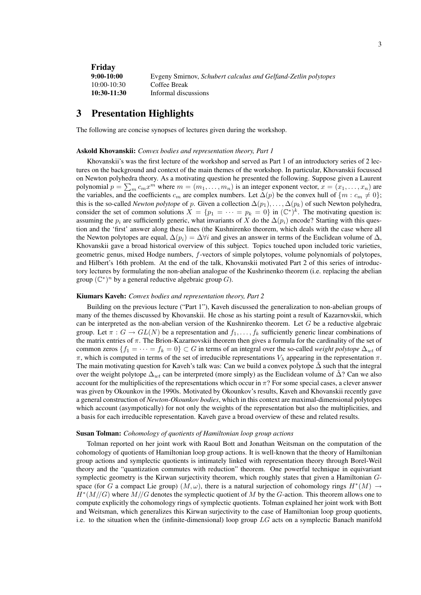**Friday**<br>9:00-10:00 9:00-10:00 Evgeny Smirnov, *Schubert calculus and Gelfand-Zetlin polytopes* 10:00-10:30 Coffee Break 10:30-11:30 Informal discussions

## 3 Presentation Highlights

The following are concise synopses of lectures given during the workshop.

#### Askold Khovanskii: *Convex bodies and representation theory, Part 1*

Khovanskii's was the first lecture of the workshop and served as Part 1 of an introductory series of 2 lectures on the background and context of the main themes of the workshop. In particular, Khovanskii focussed on Newton polyhedra theory. As a motivating question he presented the following. Suppose given a Laurent polynomial  $p = \sum_m c_m x^m$  where  $m = (m_1, \ldots, m_n)$  is an integer exponent vector,  $x = (x_1, \ldots, x_n)$  are the variables, and the coefficients  $c_m$  are complex numbers. Let  $\Delta(p)$  be the convex hull of  $\{m : c_m \neq 0\}$ ; this is the so-called *Newton polytope* of p. Given a collection  $\Delta(p_1), \ldots, \Delta(p_k)$  of such Newton polyhedra, consider the set of common solutions  $X = \{p_1 = \cdots = p_k = 0\}$  in  $(\mathbb{C}^*)^k$ . The motivating question is: assuming the  $p_i$  are sufficiently generic, what invariants of X do the  $\Delta(p_i)$  encode? Starting with this question and the 'first' answer along these lines (the Kushnirenko theorem, which deals with the case where all the Newton polytopes are equal,  $\Delta(p_i) = \Delta \forall i$  and gives an answer in terms of the Euclidean volume of  $\Delta$ , Khovanskii gave a broad historical overview of this subject. Topics touched upon included toric varieties, geometric genus, mixed Hodge numbers, f-vectors of simple polytopes, volume polynomials of polytopes, and Hilbert's 16th problem. At the end of the talk, Khovanskii motivated Part 2 of this series of introductory lectures by formulating the non-abelian analogue of the Kushrinenko theorem (i.e. replacing the abelian group  $(\mathbb{C}^*)^n$  by a general reductive algebraic group G).

#### Kiumars Kaveh: *Convex bodies and representation theory, Part 2*

Building on the previous lecture ("Part 1"), Kaveh discussed the generalization to non-abelian groups of many of the themes discussed by Khovanskii. He chose as his starting point a result of Kazarnovskii, which can be interpreted as the non-abelian version of the Kushnirenko theorem. Let  $G$  be a reductive algebraic group. Let  $\pi : G \to GL(N)$  be a representation and  $f_1, \ldots, f_k$  sufficiently generic linear combinations of the matrix entries of  $\pi$ . The Brion-Kazarnovskii theorem then gives a formula for the cardinality of the set of common zeros  ${f_1 = \cdots = f_k = 0} \subset G$  in terms of an integral over the so-called *weight polytope*  $\Delta_{wt}$  of  $\pi$ , which is computed in terms of the set of irreducible representations  $V_{\lambda}$  appearing in the representation  $\pi$ . The main motivating question for Kaveh's talk was: Can we build a convex polytope  $\Delta$  such that the integral over the weight polytope  $\Delta_{wt}$  can be interpreted (more simply) as the Euclidean volume of  $\Delta$ ? Can we also account for the multiplicities of the representations which occur in  $\pi$ ? For some special cases, a clever answer was given by Okounkov in the 1990s. Motivated by Okounkov's results, Kaveh and Khovanskii recently gave a general construction of *Newton-Okounkov bodies*, which in this context are maximal-dimensional polytopes which account (asympotically) for not only the weights of the representation but also the multiplicities, and a basis for each irreducible representation. Kaveh gave a broad overview of these and related results.

#### Susan Tolman: *Cohomology of quotients of Hamiltonian loop group actions*

Tolman reported on her joint work with Raoul Bott and Jonathan Weitsman on the computation of the cohomology of quotients of Hamiltonian loop group actions. It is well-known that the theory of Hamiltonian group actions and symplectic quotients is intimately linked with representation theory through Borel-Weil theory and the "quantization commutes with reduction" theorem. One powerful technique in equivariant symplectic geometry is the Kirwan surjectivity theorem, which roughly states that given a Hamiltonian Gspace (for G a compact Lie group)  $(M, \omega)$ , there is a natural surjection of cohomology rings  $H^*(M) \to$  $H^*(M//G)$  where  $M//G$  denotes the symplectic quotient of M by the G-action. This theorem allows one to compute explicitly the cohomology rings of symplectic quotients. Tolman explained her joint work with Bott and Weitsman, which generalizes this Kirwan surjectivity to the case of Hamiltonian loop group quotients, i.e. to the situation when the (infinite-dimensional) loop group  $LG$  acts on a symplectic Banach manifold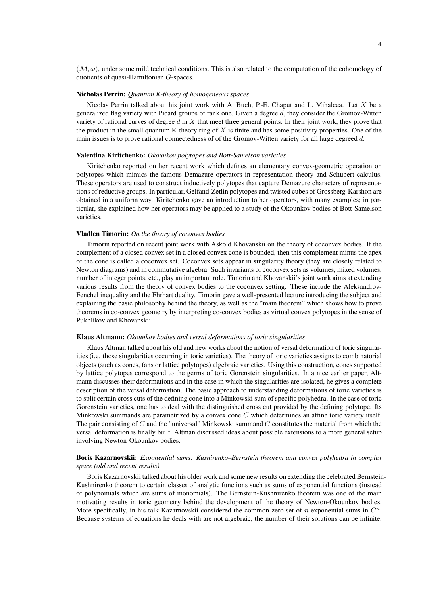$(M, \omega)$ , under some mild technical conditions. This is also related to the computation of the cohomology of quotients of quasi-Hamiltonian G-spaces.

#### Nicholas Perrin: *Quantum K-theory of homogeneous spaces*

Nicolas Perrin talked about his joint work with A. Buch, P.-E. Chaput and L. Mihalcea. Let  $X$  be a generalized flag variety with Picard groups of rank one. Given a degree  $d$ , they consider the Gromov-Witten variety of rational curves of degree  $d$  in  $X$  that meet three general points. In their joint work, they prove that the product in the small quantum K-theory ring of  $X$  is finite and has some positivity properties. One of the main issues is to prove rational connectedness of of the Gromov-Witten variety for all large degreed  $d$ .

#### Valentina Kiritchenko: *Okounkov polytopes and Bott-Samelson varieties*

Kiritchenko reported on her recent work which defines an elementary convex-geometric operation on polytopes which mimics the famous Demazure operators in representation theory and Schubert calculus. These operators are used to construct inductively polytopes that capture Demazure characters of representations of reductive groups. In particular, Gelfand-Zetlin polytopes and twisted cubes of Grossberg-Karshon are obtained in a uniform way. Kiritchenko gave an introduction to her operators, with many examples; in particular, she explained how her operators may be applied to a study of the Okounkov bodies of Bott-Samelson varieties.

#### Vladlen Timorin: *On the theory of coconvex bodies*

Timorin reported on recent joint work with Askold Khovanskii on the theory of coconvex bodies. If the complement of a closed convex set in a closed convex cone is bounded, then this complement minus the apex of the cone is called a coconvex set. Coconvex sets appear in singularity theory (they are closely related to Newton diagrams) and in commutative algebra. Such invariants of coconvex sets as volumes, mixed volumes, number of integer points, etc., play an important role. Timorin and Khovanskii's joint work aims at extending various results from the theory of convex bodies to the coconvex setting. These include the Aleksandrov-Fenchel inequality and the Ehrhart duality. Timorin gave a well-presented lecture introducing the subject and explaining the basic philosophy behind the theory, as well as the "main theorem" which shows how to prove theorems in co-convex geometry by interpreting co-convex bodies as virtual convex polytopes in the sense of Pukhlikov and Khovanskii.

#### Klaus Altmann: *Okounkov bodies and versal deformations of toric singularities*

Klaus Altman talked about his old and new works about the notion of versal deformation of toric singularities (i.e. those singularities occurring in toric varieties). The theory of toric varieties assigns to combinatorial objects (such as cones, fans or lattice polytopes) algebraic varieties. Using this construction, cones supported by lattice polytopes correspond to the germs of toric Gorenstein singularities. In a nice earlier paper, Altmann discusses their deformations and in the case in which the singularities are isolated, he gives a complete description of the versal deformation. The basic approach to understanding deformations of toric varieties is to split certain cross cuts of the defining cone into a Minkowski sum of specific polyhedra. In the case of toric Gorenstein varieties, one has to deal with the distinguished cross cut provided by the defining polytope. Its Minkowski summands are parametrized by a convex cone C which determines an affine toric variety itself. The pair consisting of C and the "universal" Minkowski summand C constitutes the material from which the versal deformation is finally built. Altman discussed ideas about possible extensions to a more general setup involving Newton-Okounkov bodies.

#### Boris Kazarnovskii: *Exponential sums: Kusnirenko–Bernstein theorem and convex polyhedra in complex space (old and recent results)*

Boris Kazarnovskii talked about his older work and some new results on extending the celebrated Bernstein-Kushnirenko theorem to certain classes of analytic functions such as sums of exponential functions (instead of polynomials which are sums of monomials). The Bernstein-Kushnirenko theorem was one of the main motivating results in toric geometry behind the development of the theory of Newton-Okounkov bodies. More specifically, in his talk Kazarnovskii considered the common zero set of  $n$  exponential sums in  $C<sup>n</sup>$ . Because systems of equations he deals with are not algebraic, the number of their solutions can be infinite.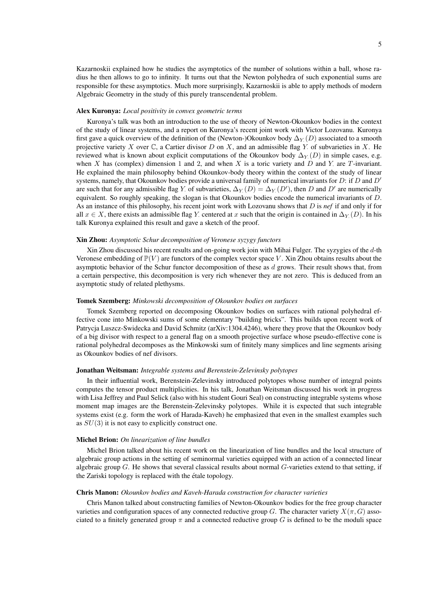Kazarnoskii explained how he studies the asymptotics of the number of solutions within a ball, whose radius he then allows to go to infinity. It turns out that the Newton polyhedra of such exponential sums are responsible for these asymptotics. Much more surprisingly, Kazarnoskii is able to apply methods of modern Algebraic Geometry in the study of this purely transcendental problem.

#### Alex Kuronya: *Local positivity in convex geometric terms*

Kuronya's talk was both an introduction to the use of theory of Newton-Okounkov bodies in the context of the study of linear systems, and a report on Kuronya's recent joint work with Victor Lozovanu. Kuronya first gave a quick overview of the definition of the (Newton-)Okounkov body  $\Delta_Y(D)$  associated to a smooth projective variety X over  $\mathbb C$ , a Cartier divisor D on X, and an admissible flag Y of subvarieties in X. He reviewed what is known about explicit computations of the Okounkov body  $\Delta_Y(D)$  in simple cases, e.g. when X has (complex) dimension 1 and 2, and when X is a toric variety and D and Y are T-invariant. He explained the main philosophy behind Okounkov-body theory within the context of the study of linear systems, namely, that Okounkov bodies provide a universal family of numerical invariants for  $D$ : if  $D$  and  $D'$ are such that for any admissible flag Y. of subvarieties,  $\Delta_Y(D) = \Delta_Y(D')$ , then D and D' are numerically equivalent. So roughly speaking, the slogan is that Okounkov bodies encode the numerical invariants of D. As an instance of this philosophy, his recent joint work with Lozovanu shows that D is *nef* if and only if for all  $x \in X$ , there exists an admissible flag Y: centered at x such that the origin is contained in  $\Delta_Y(D)$ . In his talk Kuronya explained this result and gave a sketch of the proof.

#### Xin Zhou: *Asymptotic Schur decomposition of Veronese syzygy functors*

Xin Zhou discussed his recent results and on-going work join with Mihai Fulger. The syzygies of the d-th Veronese embedding of  $\mathbb{P}(V)$  are functors of the complex vector space V. Xin Zhou obtains results about the asymptotic behavior of the Schur functor decomposition of these as  $d$  grows. Their result shows that, from a certain perspective, this decomposition is very rich whenever they are not zero. This is deduced from an asymptotic study of related plethysms.

#### Tomek Szemberg: *Minkowski decomposition of Okounkov bodies on surfaces*

Tomek Szemberg reported on decomposing Okounkov bodies on surfaces with rational polyhedral effective cone into Minkowski sums of some elementary "building bricks". This builds upon recent work of Patrycja Luszcz-Swidecka and David Schmitz (arXiv:1304.4246), where they prove that the Okounkov body of a big divisor with respect to a general flag on a smooth projective surface whose pseudo-effective cone is rational polyhedral decomposes as the Minkowski sum of finitely many simplices and line segments arising as Okounkov bodies of nef divisors.

#### Jonathan Weitsman: *Integrable systems and Berenstein-Zelevinsky polytopes*

In their influential work, Berenstein-Zelevinsky introduced polytopes whose number of integral points computes the tensor product multiplicities. In his talk, Jonathan Weitsman discussed his work in progress with Lisa Jeffrey and Paul Selick (also with his student Gouri Seal) on constructing integrable systems whose moment map images are the Berenstein-Zelevinsky polytopes. While it is expected that such integrable systems exist (e.g. form the work of Harada-Kaveh) he emphasized that even in the smallest examples such as  $SU(3)$  it is not easy to explicitly construct one.

#### Michel Brion: *On linearization of line bundles*

Michel Brion talked about his recent work on the linearization of line bundles and the local structure of algebraic group actions in the setting of seminormal varieties equipped with an action of a connected linear algebraic group  $G$ . He shows that several classical results about normal  $G$ -varieties extend to that setting, if the Zariski topology is replaced with the étale topology.

#### Chris Manon: *Okounkov bodies and Kaveh-Harada construction for character varieties*

Chris Manon talked about constructing families of Newton-Okounkov bodies for the free group character varieties and configuration spaces of any connected reductive group G. The character variety  $X(\pi, G)$  associated to a finitely generated group  $\pi$  and a connected reductive group G is defined to be the moduli space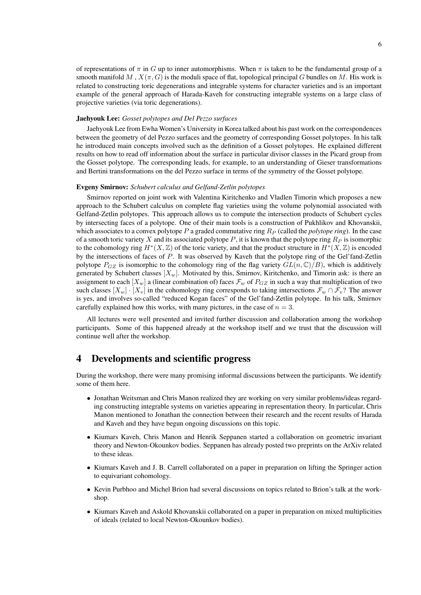of representations of  $\pi$  in G up to inner automorphisms. When  $\pi$  is taken to be the fundamental group of a smooth manifold M,  $X(\pi, G)$  is the moduli space of flat, topological principal G bundles on M. His work is related to constructing toric degenerations and integrable systems for character varieties and is an important example of the general approach of Harada-Kaveh for constructing integrable systems on a large class of projective varieties (via toric degenerations).

#### Jaehyouk Lee: *Gosset polytopes and Del Pezzo surfaces*

Jaehyouk Lee from Ewha Women's University in Korea talked about his past work on the correspondences between the geometry of del Pezzo surfaces and the geometry of corresponding Gosset polytopes. In his talk he introduced main concepts involved such as the definition of a Gosset polytopes. He explained different results on how to read off information about the surface in particular divisor classes in the Picard group from the Gosset polytope. The corresponding leads, for example, to an understanding of Gieser transformations and Bertini transformations on the del Pezzo surface in terms of the symmetry of the Gosset polytope.

#### Evgeny Smirnov: *Schubert calculus and Gelfand-Zetlin polytopes*

Smirnov reported on joint work with Valentina Kiritchenko and Vladlen Timorin which proposes a new approach to the Schubert calculus on complete flag varieties using the volume polynomial associated with Gelfand-Zetlin polytopes. This approach allows us to compute the intersection products of Schubert cycles by intersecting faces of a polytope. One of their main tools is a construction of Pukhlikov and Khovanskii, which associates to a convex polytope  $P$  a graded commutative ring  $R<sub>P</sub>$  (called the *polytope ring*). In the case of a smooth toric variety X and its associated polytope P, it is known that the polytope ring  $R_P$  is isomorphic to the cohomology ring  $H^*(X, \mathbb{Z})$  of the toric variety, and that the product structure in  $H^*(X, \mathbb{Z})$  is encoded by the intersections of faces of P. It was observed by Kaveh that the polytope ring of the Gel'fand-Zetlin polytope  $P_{GZ}$  is isomorphic to the cohomology ring of the flag variety  $GL(n,\mathbb{C})/B$ ), which is additively generated by Schubert classes  $[X_w]$ . Motivated by this, Smirnov, Kiritchenko, and Timorin ask: is there an assignment to each  $X_w$ ] a (linear combination of) faces  $\mathcal{F}_w$  of  $P_{GZ}$  in such a way that multiplication of two such classes  $[X_w] \cdot [X_w]$  in the cohomology ring corresponds to taking intersections  $\mathcal{F}_w \cap \mathcal{F}_v$ ? The answer is yes, and involves so-called "reduced Kogan faces" of the Gel'fand-Zetlin polytope. In his talk, Smirnov carefully explained how this works, with many pictures, in the case of  $n = 3$ .

All lectures were well presented and invited further discussion and collaboration among the workshop participants. Some of this happened already at the workshop itself and we trust that the discussion will continue well after the workshop.

### 4 Developments and scientific progress

During the workshop, there were many promising informal discussions between the participants. We identify some of them here.

- Jonathan Weitsman and Chris Manon realized they are working on very similar problems/ideas regarding constructing integrable systems on varieties appearing in representation theory. In particular, Chris Manon mentioned to Jonathan the connection between their research and the recent results of Harada and Kaveh and they have begun ongoing discussions on this topic.
- Kiumars Kaveh, Chris Manon and Henrik Seppanen started a collaboration on geometric invariant theory and Newton-Okounkov bodies. Seppanen has already posted two preprints on the ArXiv related to these ideas.
- Kiumars Kaveh and J. B. Carrell collaborated on a paper in preparation on lifting the Springer action to equivariant cohomology.
- Kevin Purbhoo and Michel Brion had several discussions on topics related to Brion's talk at the workshop.
- Kiumars Kaveh and Askold Khovanskii collaborated on a paper in preparation on mixed multiplicities of ideals (related to local Newton-Okounkov bodies).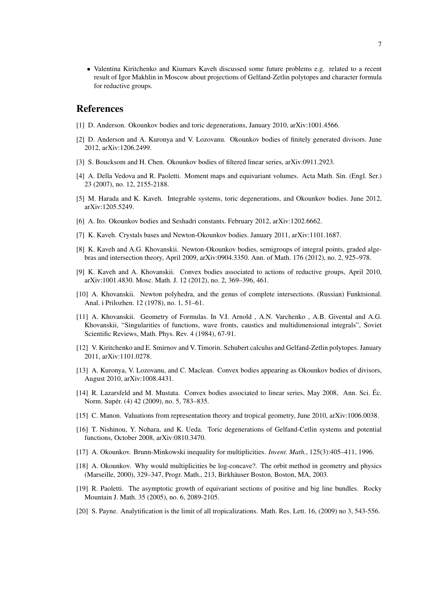• Valentina Kiritchenko and Kiumars Kaveh discussed some future problems e.g. related to a recent result of Igor Makhlin in Moscow about projections of Gelfand-Zetlin polytopes and character formula for reductive groups.

## References

- [1] D. Anderson. Okounkov bodies and toric degenerations, January 2010, arXiv:1001.4566.
- [2] D. Anderson and A. Kuronya and V. Lozovanu. Okounkov bodies of finitely generated divisors. June 2012, arXiv:1206.2499.
- [3] S. Boucksom and H. Chen. Okounkov bodies of filtered linear series, arXiv:0911.2923.
- [4] A. Della Vedova and R. Paoletti. Moment maps and equivariant volumes. Acta Math. Sin. (Engl. Ser.) 23 (2007), no. 12, 2155-2188.
- [5] M. Harada and K. Kaveh. Integrable systems, toric degenerations, and Okounkov bodies. June 2012, arXiv:1205.5249.
- [6] A. Ito. Okounkov bodies and Seshadri constants. February 2012, arXiv:1202.6662.
- [7] K. Kaveh. Crystals bases and Newton-Okounkov bodies. January 2011, arXiv:1101.1687.
- [8] K. Kaveh and A.G. Khovanskii. Newton-Okounkov bodies, semigroups of integral points, graded algebras and intersection theory, April 2009, arXiv:0904.3350. Ann. of Math. 176 (2012), no. 2, 925–978.
- [9] K. Kaveh and A. Khovanskii. Convex bodies associated to actions of reductive groups, April 2010, arXiv:1001.4830. Mosc. Math. J. 12 (2012), no. 2, 369–396, 461.
- [10] A. Khovanskii. Newton polyhedra, and the genus of complete intersections. (Russian) Funktsional. Anal. i Prilozhen. 12 (1978), no. 1, 51–61.
- [11] A. Khovanskii. Geometry of Formulas. In V.I. Arnold , A.N. Varchenko , A.B. Givental and A.G. Khovanskii, "Singularities of functions, wave fronts, caustics and multidimensional integrals", Soviet Scientific Reviews, Math. Phys. Rev. 4 (1984), 67-91.
- [12] V. Kiritchenko and E. Smirnov and V. Timorin. Schubert calculus and Gelfand-Zetlin polytopes. January 2011, arXiv:1101.0278.
- [13] A. Kuronya, V. Lozovanu, and C. Maclean. Convex bodies appearing as Okounkov bodies of divisors, August 2010, arXiv:1008.4431.
- [14] R. Lazarsfeld and M. Mustata. Convex bodies associated to linear series, May 2008, Ann. Sci. Ec. ´ Norm. Supér. (4) 42 (2009), no. 5, 783-835.
- [15] C. Manon. Valuations from representation theory and tropical geometry, June 2010, arXiv:1006.0038.
- [16] T. Nishinou, Y. Nohara, and K. Ueda. Toric degenerations of Gelfand-Cetlin systems and potential functions, October 2008, arXiv:0810.3470.
- [17] A. Okounkov. Brunn-Minkowski inequality for multiplicities. *Invent. Math.*, 125(3):405–411, 1996.
- [18] A. Okounkov. Why would multiplicities be log-concave?. The orbit method in geometry and physics (Marseille, 2000), 329-347, Progr. Math., 213, Birkhäuser Boston, Boston, MA, 2003.
- [19] R. Paoletti. The asymptotic growth of equivariant sections of positive and big line bundles. Rocky Mountain J. Math. 35 (2005), no. 6, 2089-2105.
- [20] S. Payne. Analytification is the limit of all tropicalizations. Math. Res. Lett. 16, (2009) no 3, 543-556.